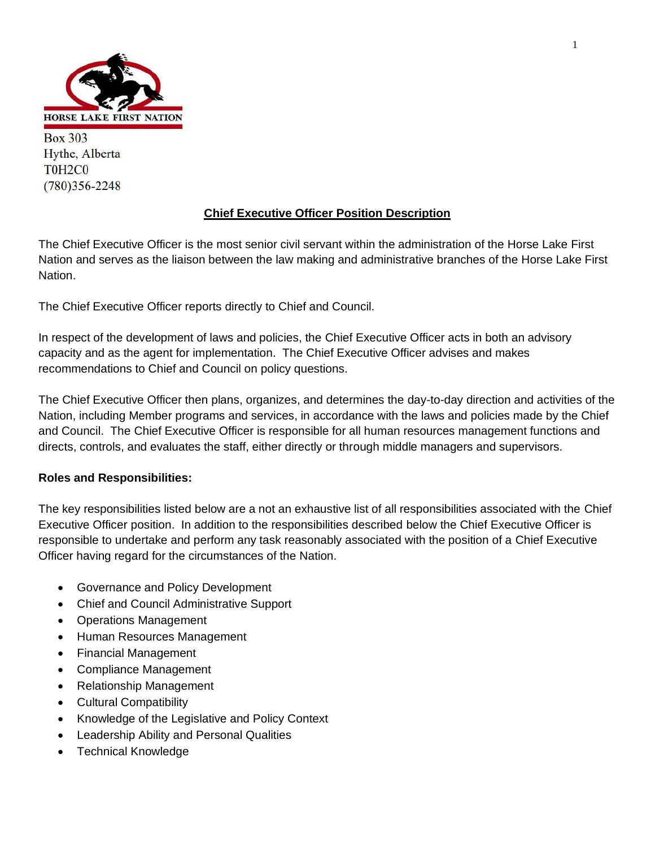

**Box 303** Hythe, Alberta T0H<sub>2</sub>C0  $(780)356 - 2248$ 

### **Chief Executive Officer Position Description**

The Chief Executive Officer is the most senior civil servant within the administration of the Horse Lake First Nation and serves as the liaison between the law making and administrative branches of the Horse Lake First Nation.

The Chief Executive Officer reports directly to Chief and Council.

In respect of the development of laws and policies, the Chief Executive Officer acts in both an advisory capacity and as the agent for implementation. The Chief Executive Officer advises and makes recommendations to Chief and Council on policy questions.

The Chief Executive Officer then plans, organizes, and determines the day-to-day direction and activities of the Nation, including Member programs and services, in accordance with the laws and policies made by the Chief and Council. The Chief Executive Officer is responsible for all human resources management functions and directs, controls, and evaluates the staff, either directly or through middle managers and supervisors.

#### **Roles and Responsibilities:**

The key responsibilities listed below are a not an exhaustive list of all responsibilities associated with the Chief Executive Officer position. In addition to the responsibilities described below the Chief Executive Officer is responsible to undertake and perform any task reasonably associated with the position of a Chief Executive Officer having regard for the circumstances of the Nation.

- Governance and Policy Development
- Chief and Council Administrative Support
- Operations Management
- Human Resources Management
- Financial Management
- Compliance Management
- Relationship Management
- Cultural Compatibility
- Knowledge of the Legislative and Policy Context
- Leadership Ability and Personal Qualities
- Technical Knowledge